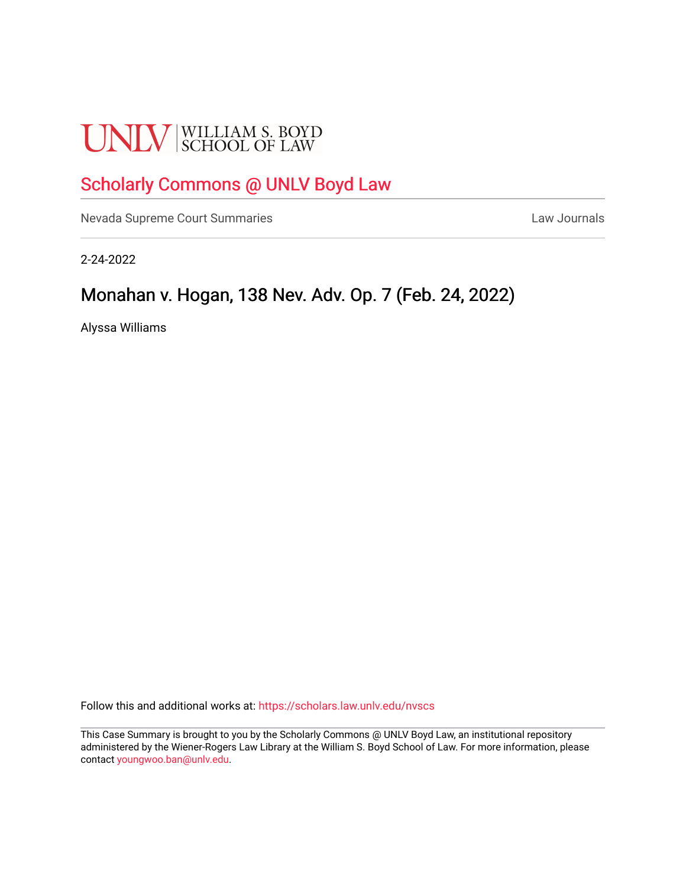# **UNLV** SCHOOL OF LAW

# [Scholarly Commons @ UNLV Boyd Law](https://scholars.law.unlv.edu/)

[Nevada Supreme Court Summaries](https://scholars.law.unlv.edu/nvscs) **Law Journals** Law Journals

2-24-2022

# Monahan v. Hogan, 138 Nev. Adv. Op. 7 (Feb. 24, 2022)

Alyssa Williams

Follow this and additional works at: [https://scholars.law.unlv.edu/nvscs](https://scholars.law.unlv.edu/nvscs?utm_source=scholars.law.unlv.edu%2Fnvscs%2F1482&utm_medium=PDF&utm_campaign=PDFCoverPages)

This Case Summary is brought to you by the Scholarly Commons @ UNLV Boyd Law, an institutional repository administered by the Wiener-Rogers Law Library at the William S. Boyd School of Law. For more information, please contact [youngwoo.ban@unlv.edu](mailto:youngwoo.ban@unlv.edu).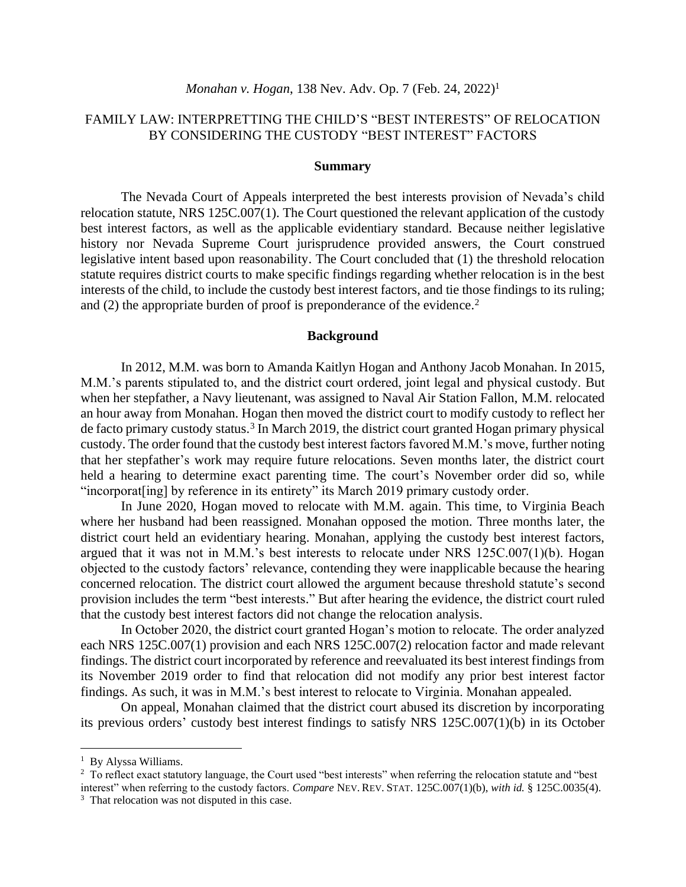## FAMILY LAW: INTERPRETTING THE CHILD'S "BEST INTERESTS" OF RELOCATION BY CONSIDERING THE CUSTODY "BEST INTEREST" FACTORS

#### **Summary**

The Nevada Court of Appeals interpreted the best interests provision of Nevada's child relocation statute, NRS 125C.007(1). The Court questioned the relevant application of the custody best interest factors, as well as the applicable evidentiary standard. Because neither legislative history nor Nevada Supreme Court jurisprudence provided answers, the Court construed legislative intent based upon reasonability. The Court concluded that (1) the threshold relocation statute requires district courts to make specific findings regarding whether relocation is in the best interests of the child, to include the custody best interest factors, and tie those findings to its ruling; and (2) the appropriate burden of proof is preponderance of the evidence. 2

#### **Background**

In 2012, M.M. was born to Amanda Kaitlyn Hogan and Anthony Jacob Monahan. In 2015, M.M.'s parents stipulated to, and the district court ordered, joint legal and physical custody. But when her stepfather, a Navy lieutenant, was assigned to Naval Air Station Fallon, M.M. relocated an hour away from Monahan. Hogan then moved the district court to modify custody to reflect her de facto primary custody status.<sup>3</sup> In March 2019, the district court granted Hogan primary physical custody. The order found that the custody best interest factors favored M.M.'s move, further noting that her stepfather's work may require future relocations. Seven months later, the district court held a hearing to determine exact parenting time. The court's November order did so, while "incorporat[ing] by reference in its entirety" its March 2019 primary custody order.

In June 2020, Hogan moved to relocate with M.M. again. This time, to Virginia Beach where her husband had been reassigned. Monahan opposed the motion. Three months later, the district court held an evidentiary hearing. Monahan, applying the custody best interest factors, argued that it was not in M.M.'s best interests to relocate under NRS 125C.007(1)(b). Hogan objected to the custody factors' relevance, contending they were inapplicable because the hearing concerned relocation. The district court allowed the argument because threshold statute's second provision includes the term "best interests." But after hearing the evidence, the district court ruled that the custody best interest factors did not change the relocation analysis.

In October 2020, the district court granted Hogan's motion to relocate. The order analyzed each NRS 125C.007(1) provision and each NRS 125C.007(2) relocation factor and made relevant findings. The district court incorporated by reference and reevaluated its best interest findings from its November 2019 order to find that relocation did not modify any prior best interest factor findings. As such, it was in M.M.'s best interest to relocate to Virginia. Monahan appealed.

On appeal, Monahan claimed that the district court abused its discretion by incorporating its previous orders' custody best interest findings to satisfy NRS 125C.007(1)(b) in its October

<sup>&</sup>lt;sup>1</sup> By Alyssa Williams.

<sup>&</sup>lt;sup>2</sup> To reflect exact statutory language, the Court used "best interests" when referring the relocation statute and "best interest" when referring to the custody factors. *Compare* NEV. REV.STAT. 125C.007(1)(b), *with id.* § 125C.0035(4).

<sup>&</sup>lt;sup>3</sup> That relocation was not disputed in this case.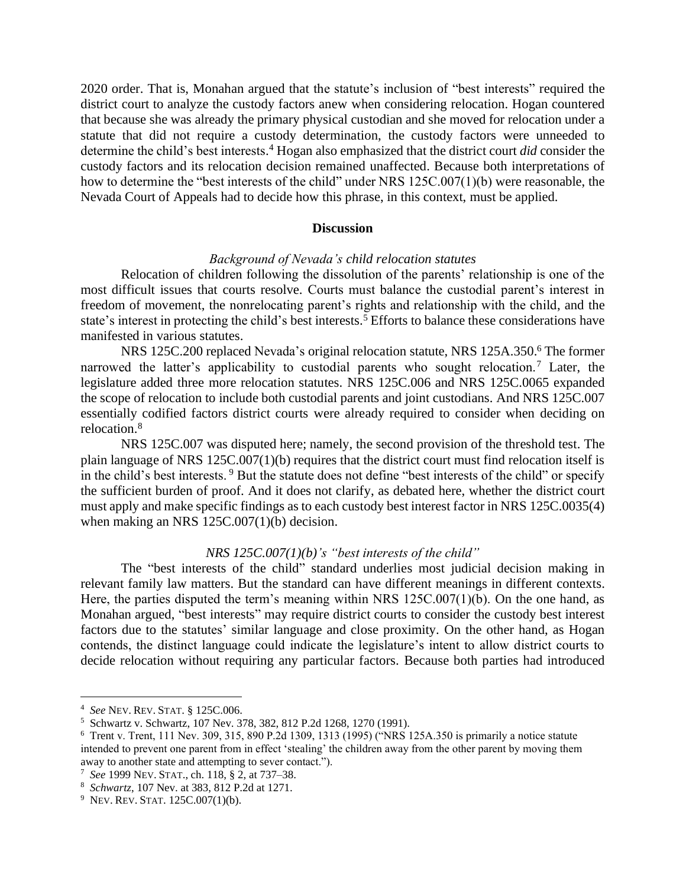2020 order. That is, Monahan argued that the statute's inclusion of "best interests" required the district court to analyze the custody factors anew when considering relocation. Hogan countered that because she was already the primary physical custodian and she moved for relocation under a statute that did not require a custody determination, the custody factors were unneeded to determine the child's best interests. <sup>4</sup> Hogan also emphasized that the district court *did* consider the custody factors and its relocation decision remained unaffected. Because both interpretations of how to determine the "best interests of the child" under NRS 125C.007(1)(b) were reasonable, the Nevada Court of Appeals had to decide how this phrase, in this context, must be applied.

## **Discussion**

### *Background of Nevada's child relocation statutes*

Relocation of children following the dissolution of the parents' relationship is one of the most difficult issues that courts resolve. Courts must balance the custodial parent's interest in freedom of movement, the nonrelocating parent's rights and relationship with the child, and the state's interest in protecting the child's best interests.<sup>5</sup> Efforts to balance these considerations have manifested in various statutes.

NRS 125C.200 replaced Nevada's original relocation statute, NRS 125A.350. <sup>6</sup> The former narrowed the latter's applicability to custodial parents who sought relocation.<sup>7</sup> Later, the legislature added three more relocation statutes. NRS 125C.006 and NRS 125C.0065 expanded the scope of relocation to include both custodial parents and joint custodians. And NRS 125C.007 essentially codified factors district courts were already required to consider when deciding on relocation. 8

NRS 125C.007 was disputed here; namely, the second provision of the threshold test. The plain language of NRS 125C.007(1)(b) requires that the district court must find relocation itself is in the child's best interests. <sup>9</sup> But the statute does not define "best interests of the child" or specify the sufficient burden of proof. And it does not clarify, as debated here, whether the district court must apply and make specific findings as to each custody best interest factor in NRS 125C.0035(4) when making an NRS 125C.007(1)(b) decision.

#### *NRS 125C.007(1)(b)'s "best interests of the child"*

The "best interests of the child" standard underlies most judicial decision making in relevant family law matters. But the standard can have different meanings in different contexts. Here, the parties disputed the term's meaning within NRS 125C.007(1)(b). On the one hand, as Monahan argued, "best interests" may require district courts to consider the custody best interest factors due to the statutes' similar language and close proximity. On the other hand, as Hogan contends, the distinct language could indicate the legislature's intent to allow district courts to decide relocation without requiring any particular factors. Because both parties had introduced

<sup>4</sup> *See* NEV. REV.STAT. § 125C.006.

<sup>5</sup> Schwartz v. Schwartz, 107 Nev. 378, 382, 812 P.2d 1268, 1270 (1991).

<sup>6</sup> Trent v. Trent, 111 Nev. 309, 315, 890 P.2d 1309, 1313 (1995) ("NRS 125A.350 is primarily a notice statute intended to prevent one parent from in effect 'stealing' the children away from the other parent by moving them away to another state and attempting to sever contact.").

<sup>7</sup> *See* 1999 NEV.STAT., ch. 118, § 2, at 737–38.

<sup>8</sup> *Schwartz*, 107 Nev. at 383, 812 P.2d at 1271.

 $9$  Nev. Rev. Stat. 125C.007(1)(b).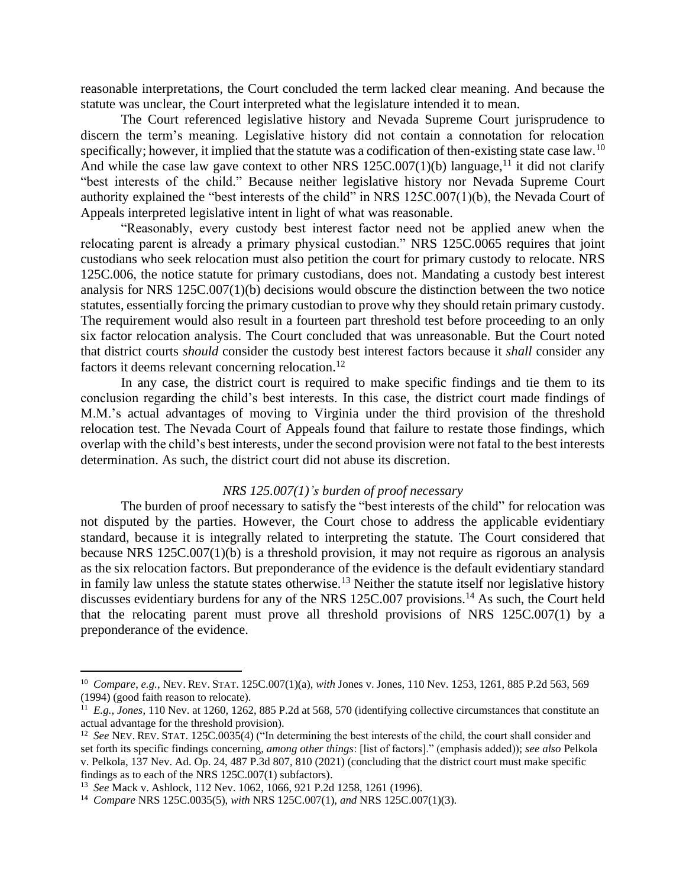reasonable interpretations, the Court concluded the term lacked clear meaning. And because the statute was unclear, the Court interpreted what the legislature intended it to mean.

The Court referenced legislative history and Nevada Supreme Court jurisprudence to discern the term's meaning. Legislative history did not contain a connotation for relocation specifically; however, it implied that the statute was a codification of then-existing state case law.<sup>10</sup> And while the case law gave context to other NRS  $125C.007(1)(b)$  language,<sup>11</sup> it did not clarify "best interests of the child." Because neither legislative history nor Nevada Supreme Court authority explained the "best interests of the child" in NRS 125C.007(1)(b), the Nevada Court of Appeals interpreted legislative intent in light of what was reasonable.

"Reasonably, every custody best interest factor need not be applied anew when the relocating parent is already a primary physical custodian." NRS 125C.0065 requires that joint custodians who seek relocation must also petition the court for primary custody to relocate. NRS 125C.006, the notice statute for primary custodians, does not. Mandating a custody best interest analysis for NRS 125C.007(1)(b) decisions would obscure the distinction between the two notice statutes, essentially forcing the primary custodian to prove why they should retain primary custody. The requirement would also result in a fourteen part threshold test before proceeding to an only six factor relocation analysis. The Court concluded that was unreasonable. But the Court noted that district courts *should* consider the custody best interest factors because it *shall* consider any factors it deems relevant concerning relocation.<sup>12</sup>

In any case, the district court is required to make specific findings and tie them to its conclusion regarding the child's best interests. In this case, the district court made findings of M.M.'s actual advantages of moving to Virginia under the third provision of the threshold relocation test. The Nevada Court of Appeals found that failure to restate those findings, which overlap with the child's best interests, under the second provision were not fatal to the best interests determination. As such, the district court did not abuse its discretion.

#### *NRS 125.007(1)'s burden of proof necessary*

The burden of proof necessary to satisfy the "best interests of the child" for relocation was not disputed by the parties. However, the Court chose to address the applicable evidentiary standard, because it is integrally related to interpreting the statute. The Court considered that because NRS 125C.007(1)(b) is a threshold provision, it may not require as rigorous an analysis as the six relocation factors. But preponderance of the evidence is the default evidentiary standard in family law unless the statute states otherwise.<sup>13</sup> Neither the statute itself nor legislative history discusses evidentiary burdens for any of the NRS 125C.007 provisions.<sup>14</sup> As such, the Court held that the relocating parent must prove all threshold provisions of NRS 125C.007(1) by a preponderance of the evidence.

<sup>10</sup> *Compare*, *e.g.*, NEV. REV.STAT. 125C.007(1)(a), *with* Jones v. Jones, 110 Nev. 1253, 1261, 885 P.2d 563, 569 (1994) (good faith reason to relocate).

<sup>&</sup>lt;sup>11</sup> E.g., *Jones*, 110 Nev. at 1260, 1262, 885 P.2d at 568, 570 (identifying collective circumstances that constitute an actual advantage for the threshold provision).

<sup>&</sup>lt;sup>12</sup> See NEV. REV. STAT. 125C.0035(4) ("In determining the best interests of the child, the court shall consider and set forth its specific findings concerning, *among other things*: [list of factors]." (emphasis added)); *see also* Pelkola v. Pelkola, 137 Nev. Ad. Op. 24, 487 P.3d 807, 810 (2021) (concluding that the district court must make specific findings as to each of the NRS 125C.007(1) subfactors).

<sup>13</sup> *See* Mack v. Ashlock, 112 Nev. 1062, 1066, 921 P.2d 1258, 1261 (1996).

<sup>14</sup> *Compare* NRS 125C.0035(5), *with* NRS 125C.007(1), *and* NRS 125C.007(1)(3).